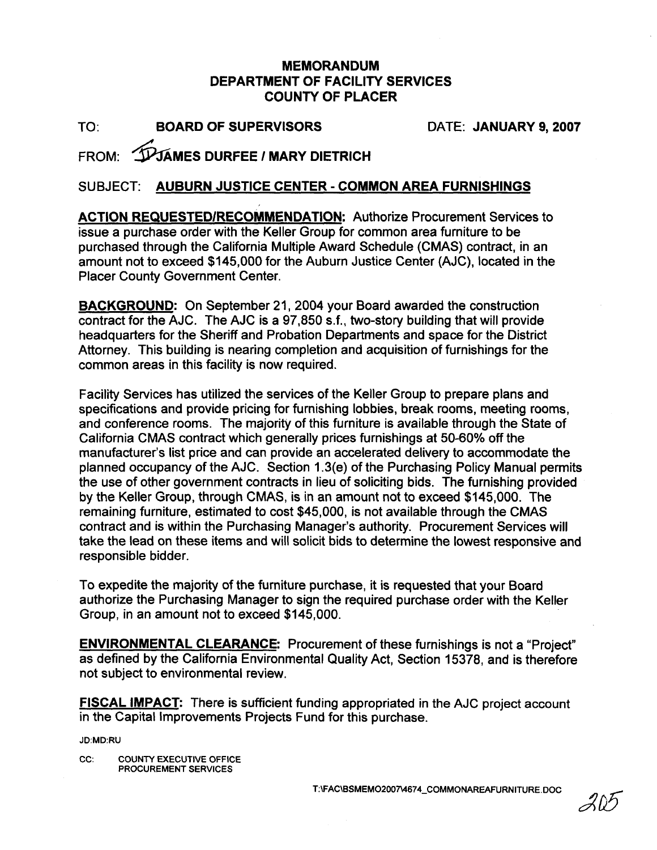## **MEMORANDUM DEPARTMENT OF FACILITY SERVICES COUNTY OF PLACER**

TO: **BOARD** OF **SUPERVISORS** DATE: **JANUARY 9,2007** 

## IPJAMES DURFEE / MARY DIETRICH FROM:

## SUBJECT: **AUBURN JUSTICE CENTER** - **COMMON AREA FURNISHINGS**

**ACTION REQUESTEDIRECOMMENDATION:** Authorize Procurement Services to issue a purchase order with the Keller Group for common area furniture to be purchased through the California Multiple Award Schedule (CMAS) contract, in an amount not to exceed \$145,000 for the Auburn Justice Center (AJC), located in the Placer County Government Center.

**BACKGROUND:** On September 21, 2004 your Board awarded the construction contract for the AJC. The AJC is a 97,850 s.f., two-story building that will provide headquarters for the Sheriff and Probation Departments and space for the District Attorney. This building is nearing completion and acquisition of furnishings for the common areas in this facility is now required.

Facility Services has utilized the services of the Keller Group to prepare plans and specifications and provide pricing for furnishing lobbies, break rooms, meeting rooms, and conference rooms. The majority of this furniture is available through the State of California CMAS contract which generally prices furnishings at 50-60% off the manufacturer's list price and can provide an accelerated delivery to accommodate the planned occupancy of the AJC. Section 1.3(e) of the Purchasing Policy Manual permits the use of other government contracts in lieu of soliciting bids. The furnishing provided by the Keller Group, through CMAS, is in an amount not to exceed \$145,000. The remaining furniture, estimated to cost \$45,000, is not available through the CMAS contract and is within the Purchasing Manager's authority. Procurement Services will take the lead on these items and will solicit bids to determine the lowest responsive and responsible bidder.

To expedite the majority of the furniture purchase, it is requested that your Board authorize the Purchasing Manager to sign the required purchase order with the Keller Group, in an amount not to exceed \$145,000.

**ENVIRONMENTAL CLEARANCE:** Procurement of these furnishings is not a "Project" as defined by the California Environmental Quality Act, Section 15378, and is therefore not subject to environmental review.

**FISCAL IMPACT:** There is sufficient funding appropriated in the AJC project account in the Capital Improvements Projects Fund for this purchase.

JD:MD:RU

CC: COUNTY EXECUTIVE OFFICE PROCUREMENT SERVICES

T:\FAC\BSMEMO2007\4674\_COMMONAREAFURNITURE.DOC

203